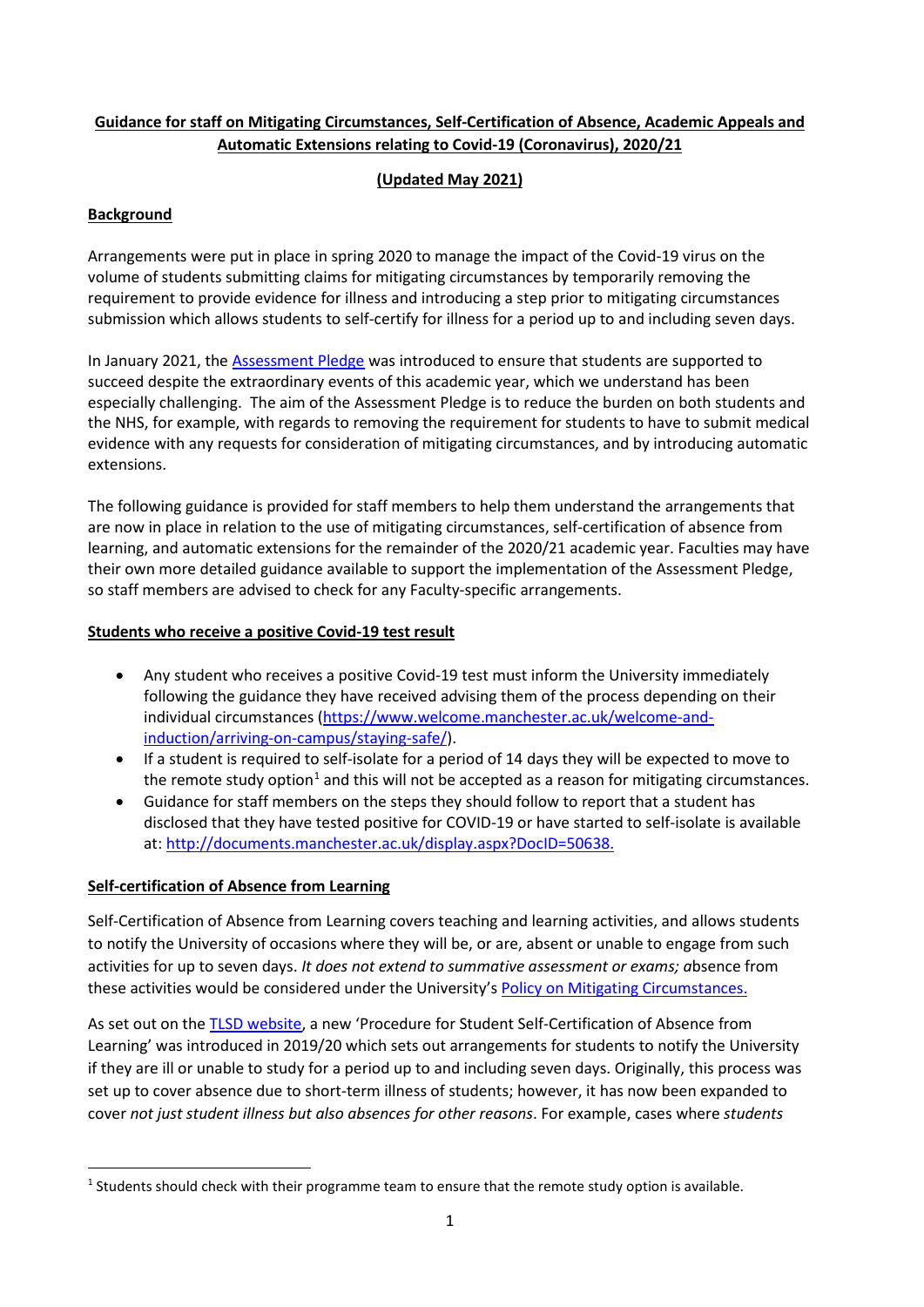# **Guidance for staff on Mitigating Circumstances, Self-Certification of Absence, Academic Appeals and Automatic Extensions relating to Covid-19 (Coronavirus), 2020/21**

# **(Updated May 2021)**

# **Background**

Arrangements were put in place in spring 2020 to manage the impact of the Covid-19 virus on the volume of students submitting claims for mitigating circumstances by temporarily removing the requirement to provide evidence for illness and introducing a step prior to mitigating circumstances submission which allows students to self-certify for illness for a period up to and including seven days.

In January 2021, th[e Assessment Pledge](https://www.manchester.ac.uk/coronavirus/support-current-students/assessment-pledge/) was introduced to ensure that students are supported to succeed despite the extraordinary events of this academic year, which we understand has been especially challenging. The aim of the Assessment Pledge is to reduce the burden on both students and the NHS, for example, with regards to removing the requirement for students to have to submit medical evidence with any requests for consideration of mitigating circumstances, and by introducing automatic extensions.

The following guidance is provided for staff members to help them understand the arrangements that are now in place in relation to the use of mitigating circumstances, self-certification of absence from learning, and automatic extensions for the remainder of the 2020/21 academic year. Faculties may have their own more detailed guidance available to support the implementation of the Assessment Pledge, so staff members are advised to check for any Faculty-specific arrangements.

### **Students who receive a positive Covid-19 test result**

- Any student who receives a positive Covid-19 test must inform the University immediately following the guidance they have received advising them of the process depending on their individual circumstances [\(https://www.welcome.manchester.ac.uk/welcome-and](https://www.welcome.manchester.ac.uk/welcome-and-induction/arriving-on-campus/staying-safe/)[induction/arriving-on-campus/staying-safe/\)](https://www.welcome.manchester.ac.uk/welcome-and-induction/arriving-on-campus/staying-safe/).
- If a student is required to self-isolate for a period of 14 days they will be expected to move to the remote study option<sup>[1](#page-0-0)</sup> and this will not be accepted as a reason for mitigating circumstances.
- Guidance for staff members on the steps they should follow to report that a student has disclosed that they have tested positive for COVID-19 or have started to self-isolate is available at: [http://documents.manchester.ac.uk/display.aspx?DocID=50638.](http://documents.manchester.ac.uk/display.aspx?DocID=50638)

### **Self-certification of Absence from Learning**

Self-Certification of Absence from Learning covers teaching and learning activities, and allows students to notify the University of occasions where they will be, or are, absent or unable to engage from such activities for up to seven days. *It does not extend to summative assessment or exams; a*bsence from these activities would be considered under the University's [Policy on Mitigating Circumstances.](https://www.staffnet.manchester.ac.uk/tlso/policy-guidance/assessment/reaching-decisions-from-assessment/mitigating-circumstances/)

As set out on the [TLSD website,](https://www.staffnet.manchester.ac.uk/tlso/policy-guidance/assessment/reaching-decisions-from-assessment/self-certification/) a new 'Procedure for Student Self-Certification of Absence from Learning' was introduced in 2019/20 which sets out arrangements for students to notify the University if they are ill or unable to study for a period up to and including seven days. Originally, this process was set up to cover absence due to short-term illness of students; however, it has now been expanded to cover *not just student illness but also absences for other reasons*. For example, cases where *students* 

<span id="page-0-0"></span> $1$  Students should check with their programme team to ensure that the remote study option is available.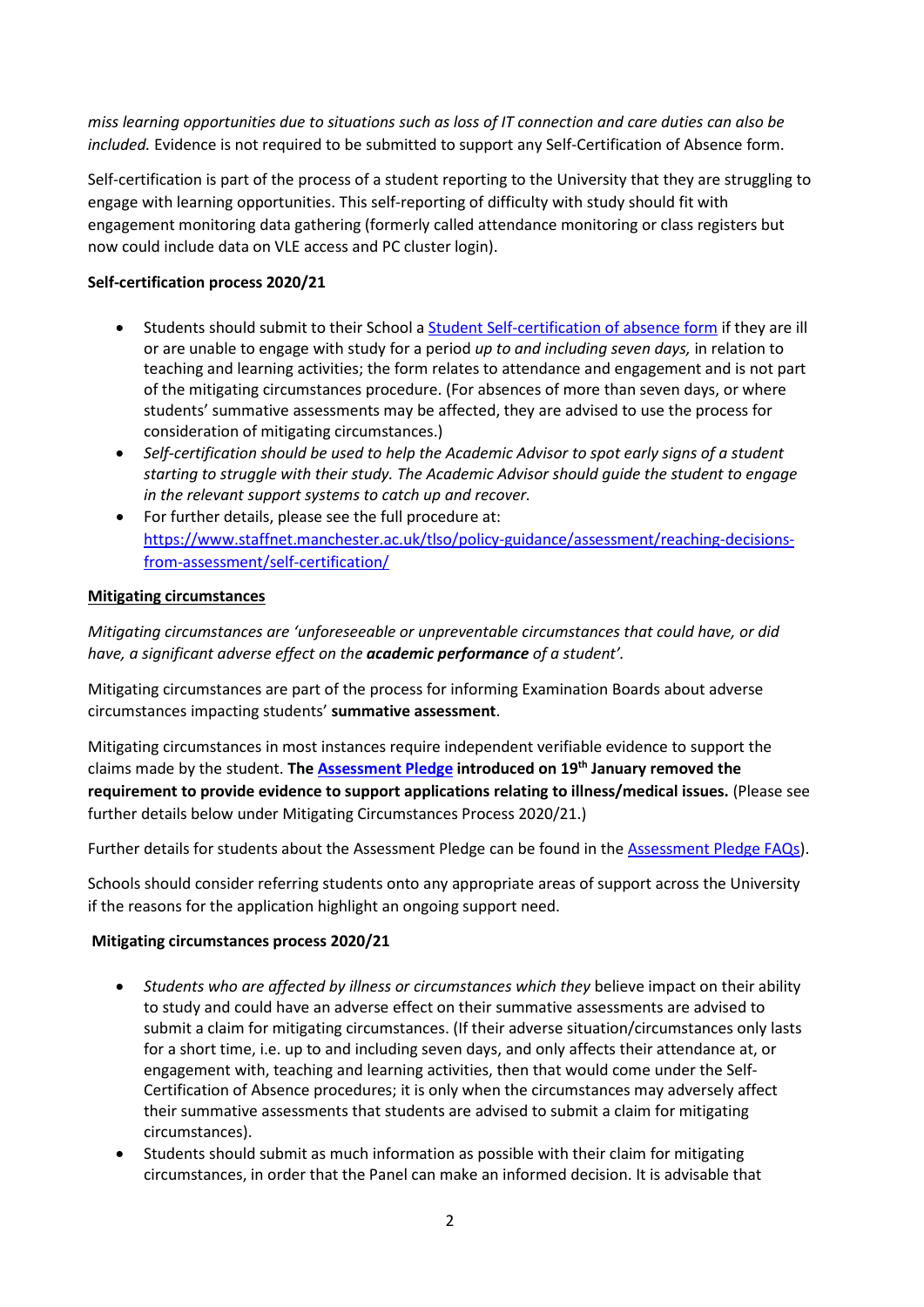*miss learning opportunities due to situations such as loss of IT connection and care duties can also be included.* Evidence is not required to be submitted to support any Self-Certification of Absence form.

Self-certification is part of the process of a student reporting to the University that they are struggling to engage with learning opportunities. This self-reporting of difficulty with study should fit with engagement monitoring data gathering (formerly called attendance monitoring or class registers but now could include data on VLE access and PC cluster login).

### **Self-certification process 2020/21**

- Students should submit to their School a [Student Self-certification of absence form](http://documents.manchester.ac.uk/display.aspx?DocID=48680) if they are ill or are unable to engage with study for a period *up to and including seven days,* in relation to teaching and learning activities; the form relates to attendance and engagement and is not part of the mitigating circumstances procedure. (For absences of more than seven days, or where students' summative assessments may be affected, they are advised to use the process for consideration of mitigating circumstances.)
- *Self-certification should be used to help the Academic Advisor to spot early signs of a student starting to struggle with their study. The Academic Advisor should guide the student to engage in the relevant support systems to catch up and recover.*
- For further details, please see the full procedure at: [https://www.staffnet.manchester.ac.uk/tlso/policy-guidance/assessment/reaching-decisions](https://www.staffnet.manchester.ac.uk/tlso/policy-guidance/assessment/reaching-decisions-from-assessment/self-certification/)[from-assessment/self-certification/](https://www.staffnet.manchester.ac.uk/tlso/policy-guidance/assessment/reaching-decisions-from-assessment/self-certification/)

# **Mitigating circumstances**

*Mitigating circumstances are 'unforeseeable or unpreventable circumstances that could have, or did have, a significant adverse effect on the academic performance of a student'.*

Mitigating circumstances are part of the process for informing Examination Boards about adverse circumstances impacting students' **summative assessment**.

Mitigating circumstances in most instances require independent verifiable evidence to support the claims made by the student. **The [Assessment Pledge](https://www.manchester.ac.uk/coronavirus/assessment-pledge/) introduced on 19th January removed the requirement to provide evidence to support applications relating to illness/medical issues.** (Please see further details below under Mitigating Circumstances Process 2020/21.)

Further details for students about the Assessment Pledge can be found in th[e Assessment Pledge FAQs\)](https://www.studentsupport.manchester.ac.uk/study-support/mitigating-circumstances/assessment-pledge-faqs/).

Schools should consider referring students onto any appropriate areas of support across the University if the reasons for the application highlight an ongoing support need.

### **Mitigating circumstances process 2020/21**

- *Students who are affected by illness or circumstances which they* believe impact on their ability to study and could have an adverse effect on their summative assessments are advised to submit a claim for mitigating circumstances. (If their adverse situation/circumstances only lasts for a short time, i.e. up to and including seven days, and only affects their attendance at, or engagement with, teaching and learning activities, then that would come under the Self-Certification of Absence procedures; it is only when the circumstances may adversely affect their summative assessments that students are advised to submit a claim for mitigating circumstances).
- Students should submit as much information as possible with their claim for mitigating circumstances, in order that the Panel can make an informed decision. It is advisable that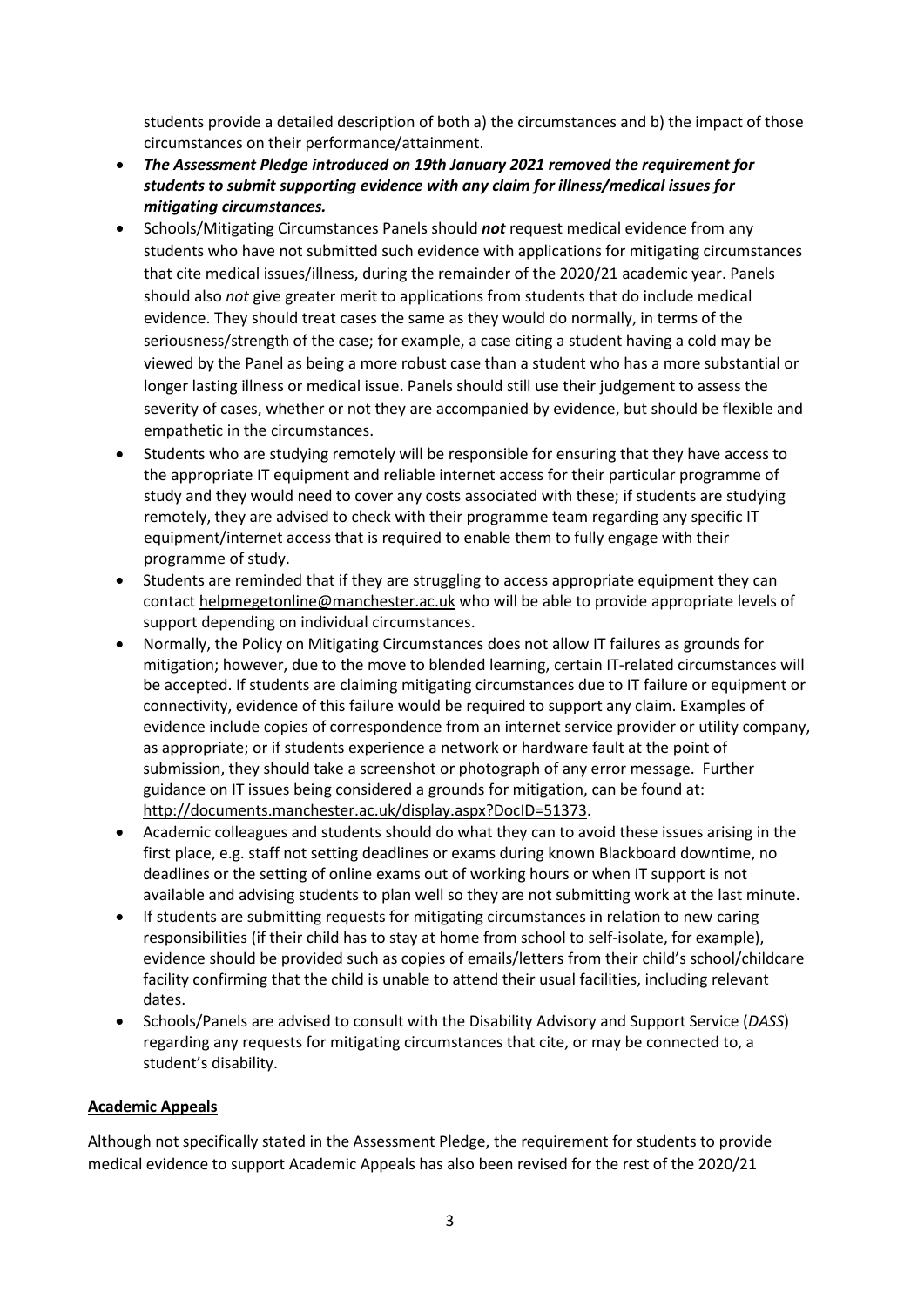students provide a detailed description of both a) the circumstances and b) the impact of those circumstances on their performance/attainment.

- *The Assessment Pledge introduced on 19th January 2021 removed the requirement for students to submit supporting evidence with any claim for illness/medical issues for mitigating circumstances.*
- Schools/Mitigating Circumstances Panels should *not* request medical evidence from any students who have not submitted such evidence with applications for mitigating circumstances that cite medical issues/illness, during the remainder of the 2020/21 academic year. Panels should also *not* give greater merit to applications from students that do include medical evidence. They should treat cases the same as they would do normally, in terms of the seriousness/strength of the case; for example, a case citing a student having a cold may be viewed by the Panel as being a more robust case than a student who has a more substantial or longer lasting illness or medical issue. Panels should still use their judgement to assess the severity of cases, whether or not they are accompanied by evidence, but should be flexible and empathetic in the circumstances.
- Students who are studying remotely will be responsible for ensuring that they have access to the appropriate IT equipment and reliable internet access for their particular programme of study and they would need to cover any costs associated with these; if students are studying remotely, they are advised to check with their programme team regarding any specific IT equipment/internet access that is required to enable them to fully engage with their programme of study.
- Students are reminded that if they are struggling to access appropriate equipment they can contact [helpmegetonline@manchester.ac.uk](mailto:helpmegetonline@manchester.ac.uk) who will be able to provide appropriate levels of support depending on individual circumstances.
- Normally, the Policy on Mitigating Circumstances does not allow IT failures as grounds for mitigation; however, due to the move to blended learning, certain IT-related circumstances will be accepted. If students are claiming mitigating circumstances due to IT failure or equipment or connectivity, evidence of this failure would be required to support any claim. Examples of evidence include copies of correspondence from an internet service provider or utility company, as appropriate; or if students experience a network or hardware fault at the point of submission, they should take a screenshot or photograph of any error message. Further guidance on IT issues being considered a grounds for mitigation, can be found at: [http://documents.manchester.ac.uk/display.aspx?DocID=51373.](http://documents.manchester.ac.uk/display.aspx?DocID=51373)
- Academic colleagues and students should do what they can to avoid these issues arising in the first place, e.g. staff not setting deadlines or exams during known Blackboard downtime, no deadlines or the setting of online exams out of working hours or when IT support is not available and advising students to plan well so they are not submitting work at the last minute.
- If students are submitting requests for mitigating circumstances in relation to new caring responsibilities (if their child has to stay at home from school to self-isolate, for example), evidence should be provided such as copies of emails/letters from their child's school/childcare facility confirming that the child is unable to attend their usual facilities, including relevant dates.
- Schools/Panels are advised to consult with the Disability Advisory and Support Service (*DASS*) regarding any requests for mitigating circumstances that cite, or may be connected to, a student's disability.

### **Academic Appeals**

Although not specifically stated in the Assessment Pledge, the requirement for students to provide medical evidence to support Academic Appeals has also been revised for the rest of the 2020/21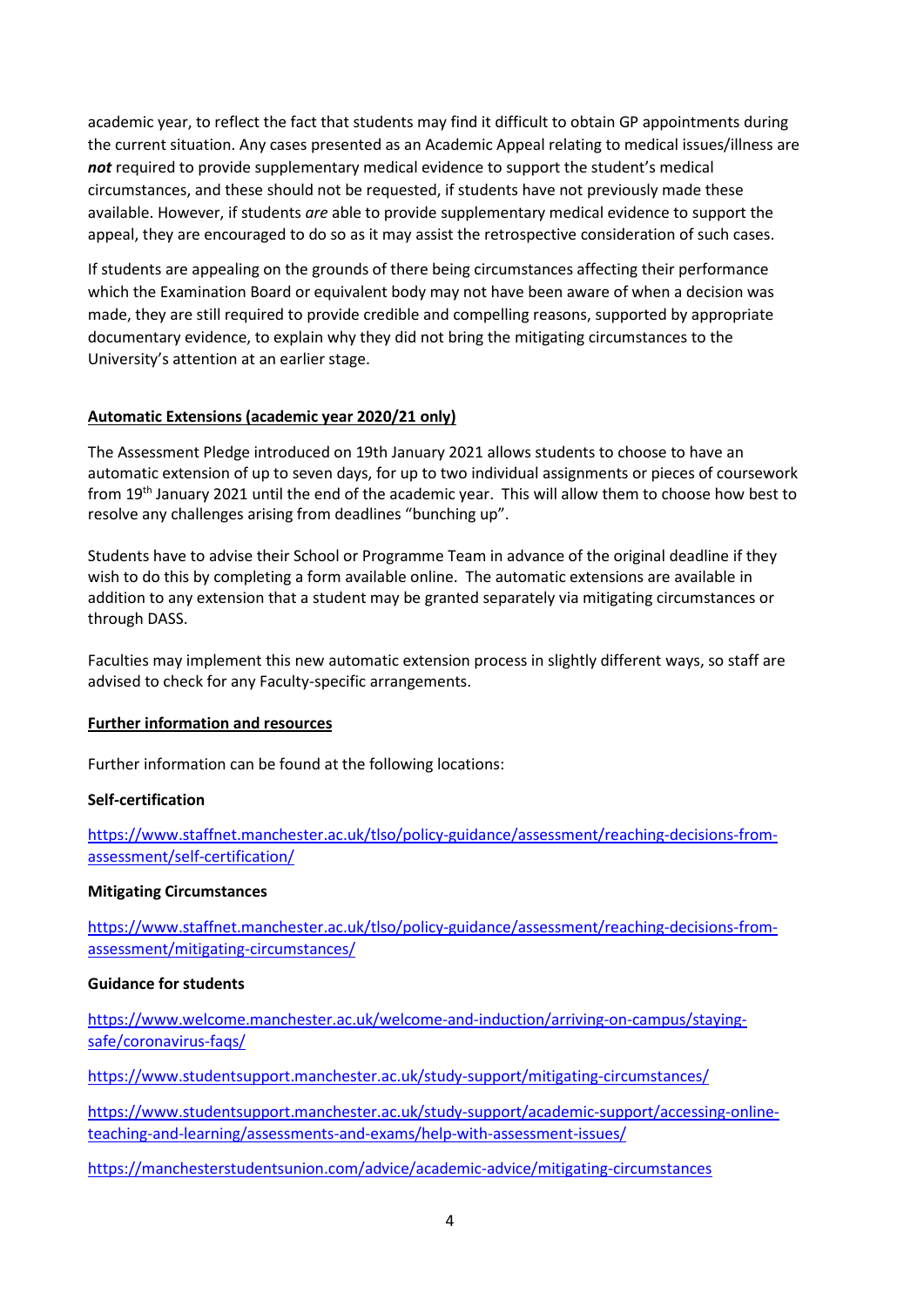academic year, to reflect the fact that students may find it difficult to obtain GP appointments during the current situation. Any cases presented as an Academic Appeal relating to medical issues/illness are *not* required to provide supplementary medical evidence to support the student's medical circumstances, and these should not be requested, if students have not previously made these available. However, if students *are* able to provide supplementary medical evidence to support the appeal, they are encouraged to do so as it may assist the retrospective consideration of such cases.

If students are appealing on the grounds of there being circumstances affecting their performance which the Examination Board or equivalent body may not have been aware of when a decision was made, they are still required to provide credible and compelling reasons, supported by appropriate documentary evidence, to explain why they did not bring the mitigating circumstances to the University's attention at an earlier stage.

#### **Automatic Extensions (academic year 2020/21 only)**

The Assessment Pledge introduced on 19th January 2021 allows students to choose to have an automatic extension of up to seven days, for up to two individual assignments or pieces of coursework from 19th January 2021 until the end of the academic year. This will allow them to choose how best to resolve any challenges arising from deadlines "bunching up".

Students have to advise their School or Programme Team in advance of the original deadline if they wish to do this by completing a form available online. The automatic extensions are available in addition to any extension that a student may be granted separately via mitigating circumstances or through DASS.

Faculties may implement this new automatic extension process in slightly different ways, so staff are advised to check for any Faculty-specific arrangements.

#### **Further information and resources**

Further information can be found at the following locations:

#### **Self-certification**

[https://www.staffnet.manchester.ac.uk/tlso/policy-guidance/assessment/reaching-decisions-from](https://www.staffnet.manchester.ac.uk/tlso/policy-guidance/assessment/reaching-decisions-from-assessment/self-certification/)[assessment/self-certification/](https://www.staffnet.manchester.ac.uk/tlso/policy-guidance/assessment/reaching-decisions-from-assessment/self-certification/)

#### **Mitigating Circumstances**

[https://www.staffnet.manchester.ac.uk/tlso/policy-guidance/assessment/reaching-decisions-from](https://www.staffnet.manchester.ac.uk/tlso/policy-guidance/assessment/reaching-decisions-from-assessment/mitigating-circumstances/)[assessment/mitigating-circumstances/](https://www.staffnet.manchester.ac.uk/tlso/policy-guidance/assessment/reaching-decisions-from-assessment/mitigating-circumstances/)

#### **Guidance for students**

[https://www.welcome.manchester.ac.uk/welcome-and-induction/arriving-on-campus/staying](https://www.welcome.manchester.ac.uk/welcome-and-induction/arriving-on-campus/staying-safe/coronavirus-faqs/)[safe/coronavirus-faqs/](https://www.welcome.manchester.ac.uk/welcome-and-induction/arriving-on-campus/staying-safe/coronavirus-faqs/)

<https://www.studentsupport.manchester.ac.uk/study-support/mitigating-circumstances/>

[https://www.studentsupport.manchester.ac.uk/study-support/academic-support/accessing-online](https://www.studentsupport.manchester.ac.uk/study-support/academic-support/accessing-online-teaching-and-learning/assessments-and-exams/help-with-assessment-issues/)[teaching-and-learning/assessments-and-exams/help-with-assessment-issues/](https://www.studentsupport.manchester.ac.uk/study-support/academic-support/accessing-online-teaching-and-learning/assessments-and-exams/help-with-assessment-issues/)

<https://manchesterstudentsunion.com/advice/academic-advice/mitigating-circumstances>